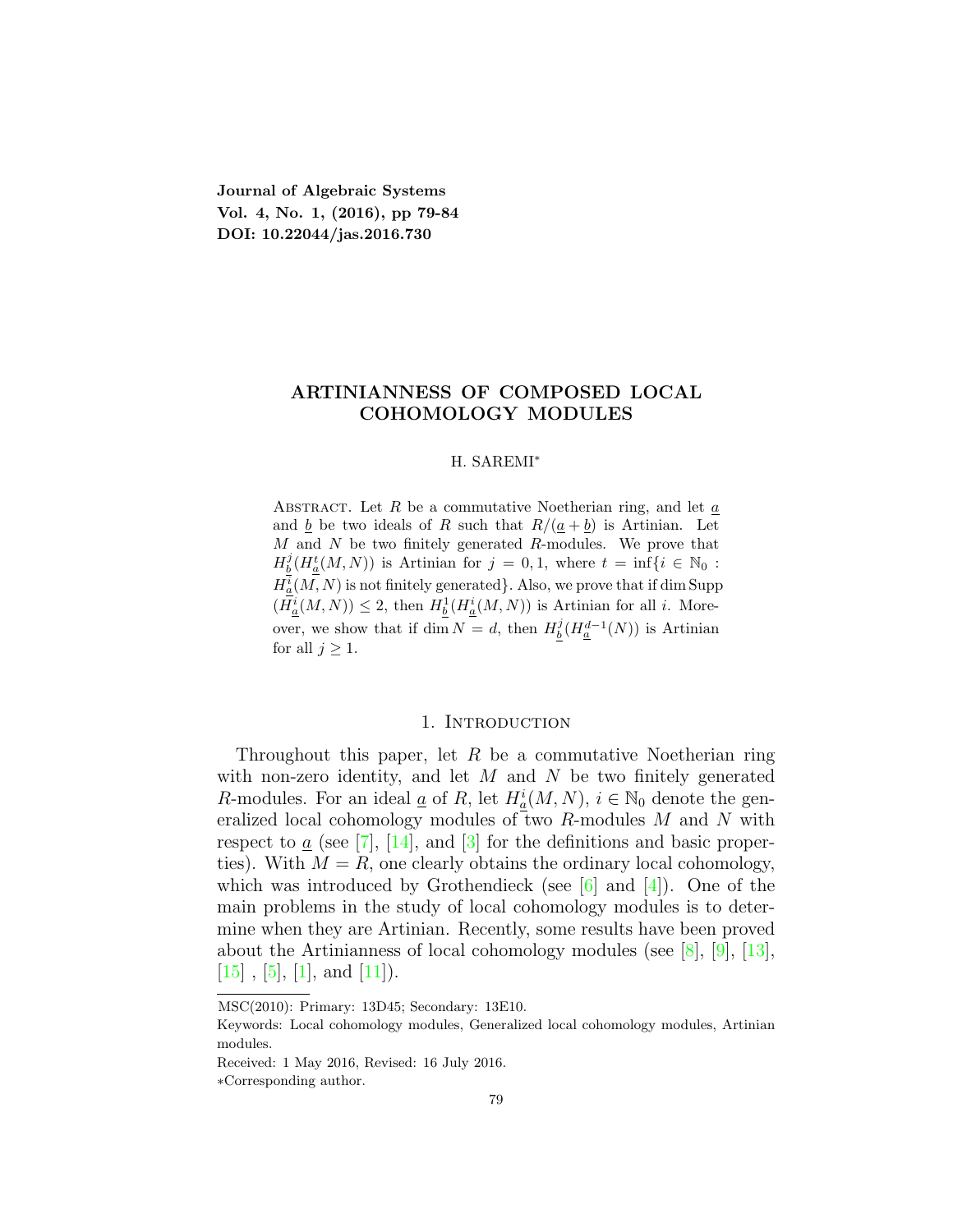**Journal of Algebraic Systems Vol. 4, No. 1, (2016), pp 79-84 DOI: 10.22044/jas.2016.730**

## **ARTINIANNESS OF COMPOSED LOCAL COHOMOLOGY MODULES**

## H. SAREMI*<sup>∗</sup>*

Abstract. Let *R* be a commutative Noetherian ring, and let *a* and  $\underline{b}$  be two ideals of *R* such that  $R/(\underline{a} + \underline{b})$  is Artinian. Let *M* and *N* be two finitely generated *R*-modules. We prove that  $H_{{\underline{b}}}^j(H_{{\underline{a}}}^t(M,N))$  is Artinian for  $j=0,1$ , where  $t=\inf\{i\in\mathbb{N}_0:$  $H^i_{\underline{a}}(M,N)$  is not finitely generated<sup>}</sup>. Also, we prove that if dim Supp  $(H_{\underline{a}}^i(M, N)) \leq 2$ , then  $H_{\underline{b}}^1(H_{\underline{a}}^i(M, N))$  is Artinian for all *i*. Moreover, we show that if dim  $N = d$ , then  $H_b^j(H_a^{d-1}(N))$  is Artinian for all  $j \geq 1$ .

#### 1. INTRODUCTION

Throughout this paper, let *R* be a commutative Noetherian ring with non-zero identity, and let *M* and *N* be two finitely generated *R*-modules. For an ideal <u>*a*</u> of *R*, let  $H_a^i(M, N)$ ,  $i \in \mathbb{N}_0$  denote the generalized local cohomology modules of two *R*-modules *M* and *N* with respectto  $\underline{a}$  (see [\[7](#page-5-0)], [\[14\]](#page-5-1), and [[3\]](#page-5-2) for the definitions and basic properties). With  $M = R$ , one clearly obtains the ordinary local cohomology, whichwas introduced by Grothendieck (see  $[6]$  and  $[4]$  $[4]$  $[4]$ ). One of the main problems in the study of local cohomology modules is to determine when they are Artinian. Recently, some results have been proved about the Artinianness of local cohomology modules (see [\[8](#page-5-5)], [\[9](#page-5-6)],[[13\]](#page-5-7),  $[15]$  $[15]$  $[15]$ , $[5]$ ,  $[1]$  $[1]$  $[1]$ , and  $[11]$  $[11]$ ).

MSC(2010): Primary: 13D45; Secondary: 13E10.

Keywords: Local cohomology modules, Generalized local cohomology modules, Artinian modules.

Received: 1 May 2016, Revised: 16 July 2016.

*<sup>∗</sup>*Corresponding author.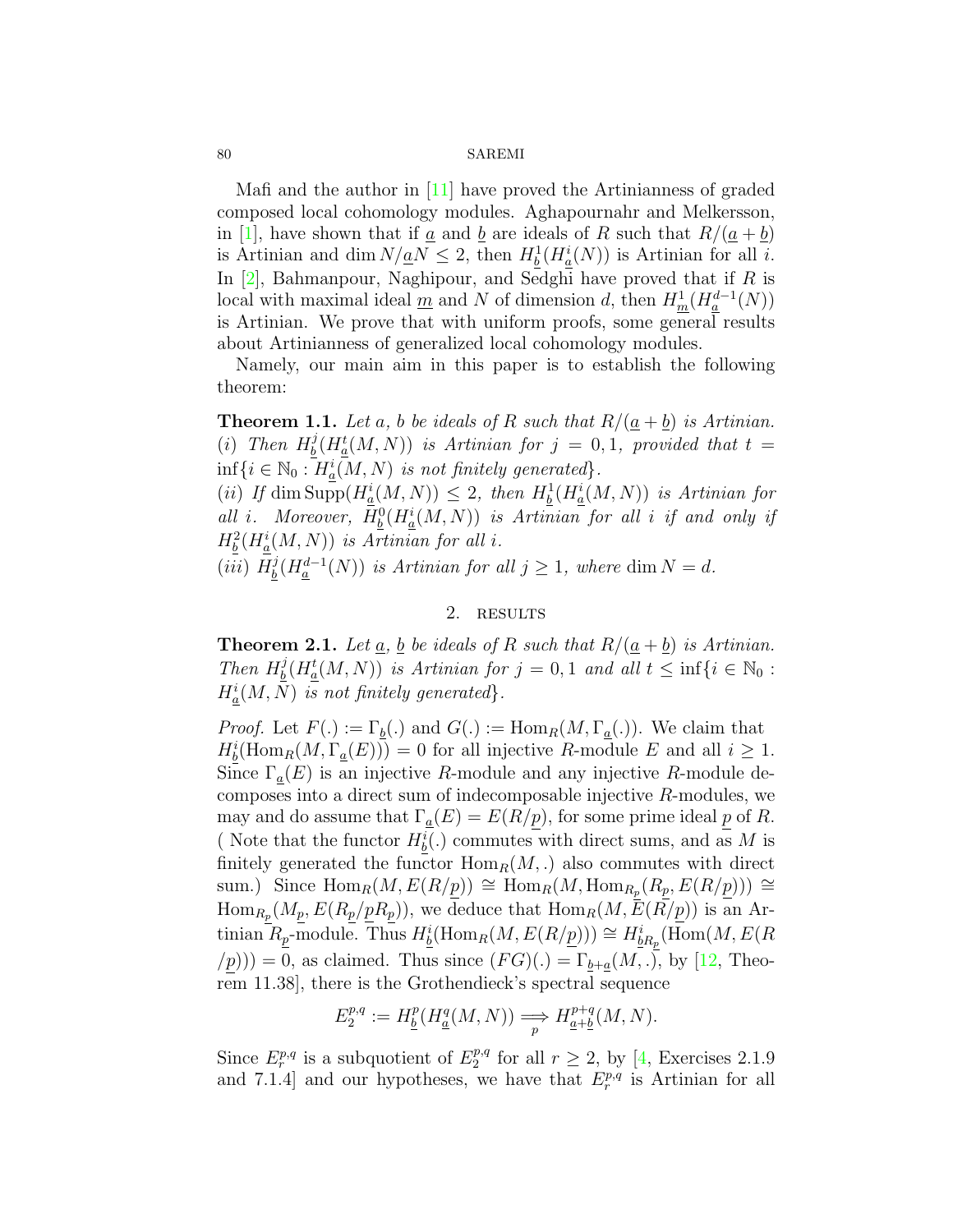### 80 SAREMI

Mafi and the author in[[11\]](#page-5-11) have proved the Artinianness of graded composed local cohomology modules. Aghapournahr and Melkersson, in[[1\]](#page-5-10), have shown that if <u>a</u> and <u>b</u> are ideals of R such that  $R/(\underline{a} + \underline{b})$ is Artinian and dim  $N/\underline{a}N \leq 2$ , then  $H^1_{\underline{b}}(H^i_{\underline{a}}(N))$  is Artinian for all *i*. In[[2\]](#page-5-12), Bahmanpour, Naghipour, and Sedghi have proved that if *R* is local with maximal ideal  $\underline{m}$  and  $N$  of dimension  $d$ , then  $H^1_{\underline{m}}(H^{d-1}_a(N))$ is Artinian. We prove that with uniform proofs, some general results about Artinianness of generalized local cohomology modules.

Namely, our main aim in this paper is to establish the following theorem:

**Theorem 1.1.** Let a, b be ideals of R such that  $R/(a + b)$  is Artinian.  $(i)$  *Then*  $H_b^j$  $\frac{d}{d}$  *b*  $\frac{d}{d}$  *(H*<sup> $d$ </sup><sub> $a$ </sub>  $(M, N)$ ) *is Artinian for*  $j = 0, 1$ *, provided that*  $t =$  $\inf\{i \in \mathbb{N}_0 : H^i_{\underline{a}}(M, N) \text{ is not finitely generated}\}.$ 

 $(iii)$  *If* dim  $\text{Supp}(H^i_{\underline{a}}(M, N)) \leq 2$ , then  $H^1_{\underline{b}}(H^i_{\underline{a}}(M, N))$  is Artinian for *all i.* Moreover,  $H_0^0(H_a^i(M, N))$  *is Artinian for all i if and only if*  $H_b^2(H_a^i(M, N))$  *is Artinian for all i.* 

 $(iii)$   $H_b^j$  $\frac{1}{2}(H_a^{d-1}(N))$  *is Artinian for all*  $j \geq 1$ *, where* dim  $N = d$ *.* 

## 2. RESULTS

<span id="page-1-0"></span>**Theorem 2.1.** *Let*  $\underline{a}$ *,*  $\underline{b}$  *be ideals of*  $R$  *such that*  $R/(\underline{a} + \underline{b})$  *is Artinian. Then*  $H_h^j$  $\frac{1}{2}(H_a^t(M, N))$  *is Artinian for*  $j = 0, 1$  *and all*  $t \leq \inf\{i \in \mathbb{N}_0 :$  $H^i_{\underline{a}}(M, N)$  *is not finitely generated}*.

*Proof.* Let  $F(.) := \Gamma_b(.)$  and  $G(.) := \text{Hom}_R(M, \Gamma_a(.))$ . We claim that  $H^i_{\underline{b}}(\text{Hom}_R(M, \Gamma_{\underline{a}}(E))) = 0$  for all injective *R*-module *E* and all  $i \geq 1$ . Since Γ*a*(*E*) is an injective *R*-module and any injective *R*-module decomposes into a direct sum of indecomposable injective *R*-modules, we may and do assume that  $\Gamma_a(E) = E(R/p)$ , for some prime ideal p of R. ( Note that the functor  $H^i_{\underline{b}}(.)$  commutes with direct sums, and as M is finitely generated the functor  $\text{Hom}_R(M,.)$  also commutes with direct sum.) Since  $\text{Hom}_R(M, E(R/p)) \cong \text{Hom}_R(M, \text{Hom}_{R_p}(R_p, E(R/p))) \cong$  $\text{Hom}_{R_p}(M_p, E(R_p/pR_p)),$  we deduce that  $\text{Hom}_R(M, E(R/p))$  is an Ar- $\lim_{L \to \infty} R_p$ -module. Thus  $H^i_{\underline{b}}(\text{Hom}_R(M, E(R/p))) \cong H^i_{\underline{b}R_p}(\overline{\text{Hom}}(M, E(R))$  $(p)$ )) = 0, as claimed. Thus since  $(FG)(.) = \Gamma_{b+a}(M,.)$ , by [\[12](#page-5-13), Theorem 11.38], there is the Grothendieck's spectral sequence

$$
E_2^{p,q}:=H^p_{\underline{b}}(H^q_{\underline{a}}(M,N))\Longrightarrow \underset{p}{H^{p+q}_{\underline{a}+\underline{b}}}(M,N).
$$

Since  $E_r^{p,q}$  is a subquotient of  $E_2^{p,q}$  $x_2^{p,q}$ for all  $r \geq 2$ , by [[4,](#page-5-4) Exercises 2.1.9] and 7.1.4] and our hypotheses, we have that  $E_r^{p,q}$  is Artinian for all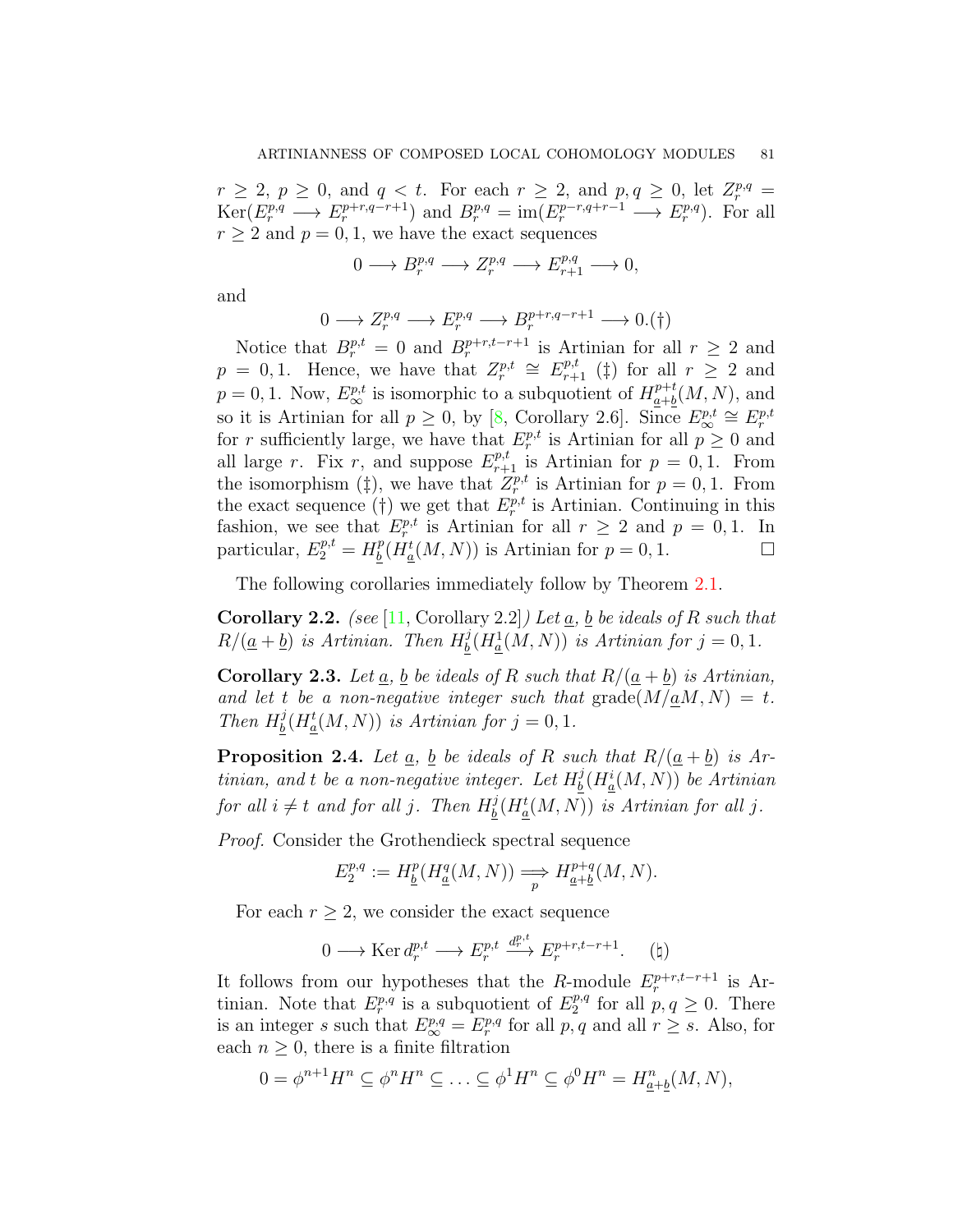$r \geq 2, p \geq 0$ , and  $q < t$ . For each  $r \geq 2$ , and  $p, q \geq 0$ , let  $Z_r^{p,q} =$  $\text{Ker}(E_r^{p,q} \longrightarrow E_r^{p+r,q-r+1})$  and  $B_r^{p,q} = \text{im}(E_r^{p-r,q+r-1} \longrightarrow E_r^{p,q})$ . For all  $r \geq 2$  and  $p = 0, 1$ , we have the exact sequences

$$
0 \longrightarrow B^{p,q}_r \longrightarrow Z^{p,q}_r \longrightarrow E^{p,q}_{r+1} \longrightarrow 0,
$$

and

$$
0 \longrightarrow Z_r^{p,q} \longrightarrow E_r^{p,q} \longrightarrow B_r^{p+r,q-r+1} \longrightarrow 0.(\dagger)
$$

Notice that  $B_r^{p,t} = 0$  and  $B_r^{p+r,t-r+1}$  is Artinian for all  $r \geq 2$  and  $p = 0, 1$ . Hence, we have that  $Z_r^{p,t} \cong E_{r+1}^{p,t}$  (*‡*) for all  $r \geq 2$  and  $p = 0, 1$ . Now,  $E^{p,t}_{\infty}$  is isomorphic to a subquotient of  $H^{p+t}_{\underline{a}+\underline{b}}$  $a+b \overline{b}(M,N)$ , and so it is Artinian for all  $p \geq 0$ , by [\[8](#page-5-5), Corollary 2.6]. Since  $E^{p,t}_{\infty} \cong E^{p,t}_r$ for *r* sufficiently large, we have that  $E_r^{p,t}$  is Artinian for all  $p \ge 0$  and all large *r*. Fix *r*, and suppose  $E_{r+1}^{p,t}$  is Artinian for  $p = 0, 1$ . From the isomorphism ( $\ddagger$ ), we have that  $Z_r^{p,t}$  is Artinian for  $p = 0, 1$ . From the exact sequence (†) we get that  $E_r^{p,t}$  is Artinian. Continuing in this fashion, we see that  $E_r^{p,t}$  is Artinian for all  $r \geq 2$  and  $p = 0, 1$ . In particular,  $E_2^{p,t} = H_b^p$  $\frac{p}{b}(H_{\underline{a}}^{t}(M, N))$  is Artinian for  $p = 0, 1$ . □

The following corollaries immediately follow by Theorem [2.1](#page-1-0).

**Corollary 2.2.** *(see* [\[11,](#page-5-11) Corollary 2.2]*) Let a, b be ideals of R such that*  $R/(\underline{a} + \underline{b})$  *is Artinian. Then*  $H_b^j$  $\frac{d}{d}$  *(H*<sup>1</sup><sub>*a*</sub></sub>(*M*, *N*)) *is Artinian for*  $j = 0, 1$ *.* 

**Corollary 2.3.** Let  $\underline{a}$ ,  $\underline{b}$  be ideals of  $R$  *such that*  $R/(\underline{a} + \underline{b})$  *is Artinian,* and let *t* be a non-negative integer such that  $\text{grade}(M/\underline{a}M, N) = t$ . *Then*  $H_b^j$  $\frac{j}{b}(H_{\underline{a}}^{t}(M, N))$  *is Artinian for*  $j = 0, 1$ *.* 

<span id="page-2-0"></span>**Proposition 2.4.** Let  $\underline{a}$ ,  $\underline{b}$  be ideals of  $R$  such that  $R/(\underline{a} + \underline{b})$  is Ar*tinian, and t be a non-negative integer. Let*  $H_h^j$  $\frac{b}{b}(H_a^i(M,N))$  be Artinian *for all*  $i \neq t$  *and for all*  $j$ *. Then*  $H_b^j$  $\frac{d}{d}$  *(H*<sup> $t$ </sup><sub> $a$ </sub> $(M, N)$ ) *is Artinian for all j*.

*Proof.* Consider the Grothendieck spectral sequence

$$
E_2^{p,q} := H^p_{\underline{b}}(H^q_{\underline{a}}(M,N)) \Longrightarrow H^{p+q}_{\underline{a}+\underline{b}}(M,N).
$$

For each  $r \geq 2$ , we consider the exact sequence

$$
0 \longrightarrow \text{Ker } d_r^{p,t} \longrightarrow E_r^{p,t} \xrightarrow{d_r^{p,t}} E_r^{p+r,t-r+1}.\tag{4}
$$

It follows from our hypotheses that the *R*-module  $E_r^{p+r,t-r+1}$  is Artinian. Note that  $E_r^{p,q}$  is a subquotient of  $E_2^{p,q}$  $p^{p,q}$  for all  $p, q \geq 0$ . There is an integer *s* such that  $E^{p,q}_{\infty} = E^{p,q}_r$  for all  $p, q$  and all  $r \geq s$ . Also, for each  $n \geq 0$ , there is a finite filtration

$$
0 = \phi^{n+1} H^n \subseteq \phi^n H^n \subseteq \ldots \subseteq \phi^1 H^n \subseteq \phi^0 H^n = H^n_{\underline{a} + \underline{b}}(M, N),
$$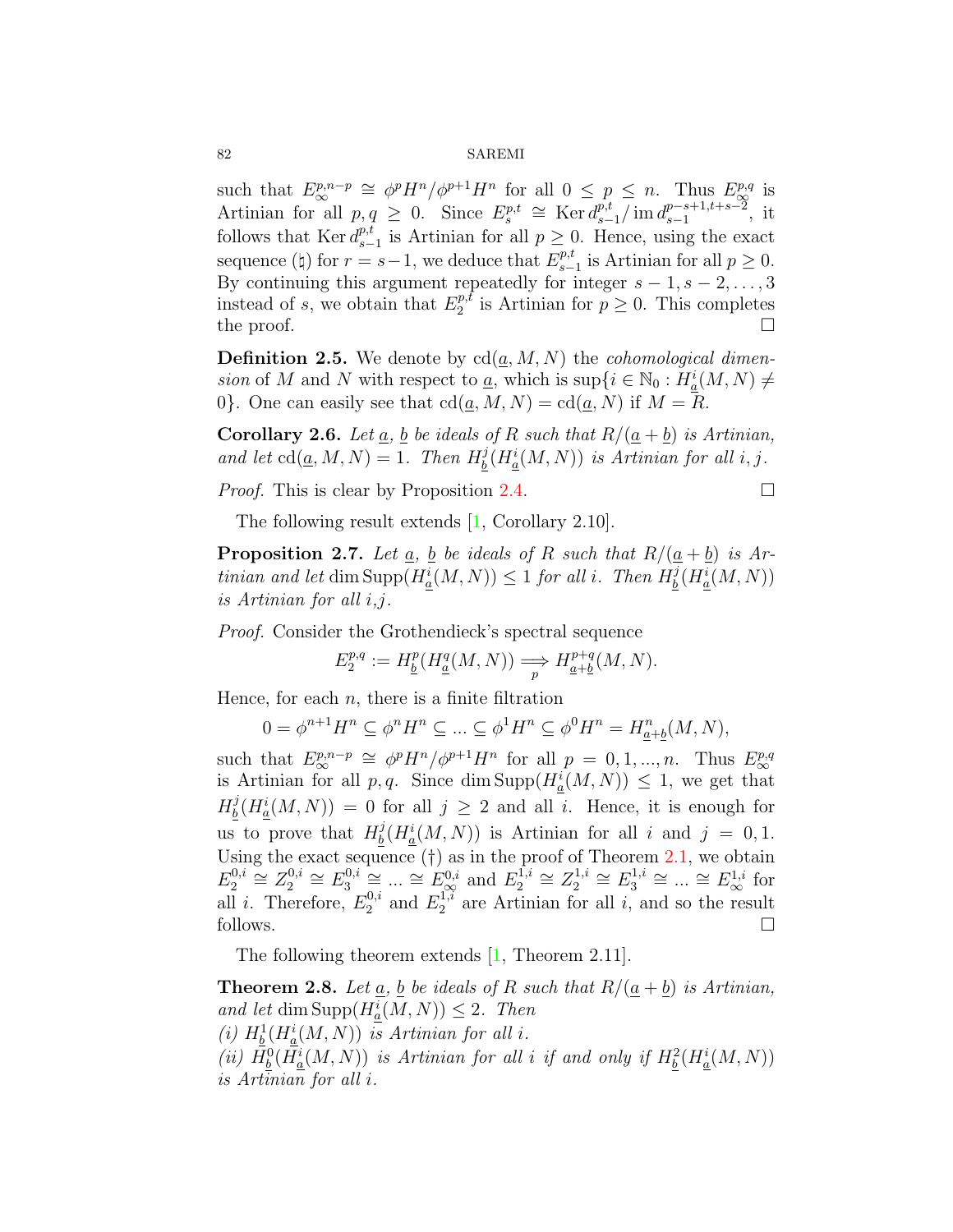#### 82 SAREMI

such that  $E^{p,n-p}_{\infty} \cong \phi^p H^n / \phi^{p+1} H^n$  for all  $0 \leq p \leq n$ . Thus  $E^{p,q}_{\infty}$  is Artinian for all  $p, q \geq 0$ . Since  $E_s^{p,t} \cong \text{Ker } d_{s-1}^{p,t}$  $\int_{s-1}^{p,t}$  / im  $d_{s-1}^{p-s+1,t+s-2}$ *p*<sup>−s+1,t+s<sup>−2</sup>, it</sup> follows that  $\text{Ker } d_s^{p,t}$  $p_{s-1}$  is Artinian for all  $p \geq 0$ . Hence, using the exact sequence ( $\sharp$ ) for  $r = s - 1$ , we deduce that  $E_{s-}^{p,t}$  $_{s-1}^{p,t}$  is Artinian for all  $p \geq 0$ . By continuing this argument repeatedly for integer  $s - 1, s - 2, \ldots, 3$ instead of *s*, we obtain that  $E_2^{p,t}$  $p^{p,t}$  is Artinian for  $p \geq 0$ . This completes the proof.  $\Box$ 

**Definition 2.5.** We denote by  $\text{cd}(\underline{a}, M, N)$  the *cohomological dimension* of *M* and *N* with respect to <u>*a*</u>, which is sup $\{i \in \mathbb{N}_0 : H_a^i(M, N) \neq a\}$ 0<sup>}</sup>. One can easily see that  $\text{cd}(a, M, N) = \text{cd}(a, N)$  if  $M = R$ .

**Corollary 2.6.** *Let*  $\underline{a}$ *,*  $\underline{b}$  *be ideals of*  $R$  *such that*  $R/(\underline{a} + \underline{b})$  *is Artinian, and let*  $\text{cd}(\underline{a}, M, N) = 1$ *. Then*  $H_b^j$  $\frac{j}{b}(H_{\underline{a}}^{i}(M, N))$  *is Artinian for all i, j.* 

*Proof.* This is clear by Proposition [2.4.](#page-2-0)

$$
\overline{a}
$$

The following result extends [\[1](#page-5-10), Corollary 2.10].

**Proposition 2.7.** Let  $\underline{a}$ ,  $\underline{b}$  be ideals of  $R$  *such that*  $R/(\underline{a} + \underline{b})$  *is Artinian and let* dim  $\text{Supp}(H^i_{\underline{a}}(M, N)) \leq 1$  *for all i. Then*  $H^j_{\underline{b}}$  $\frac{d}{d}$  *(H*<sup>*i*</sup><sub>*a*</sub></sub> $(M, N)$ ) *is Artinian for all i,j.*

*Proof.* Consider the Grothendieck's spectral sequence

$$
E_2^{p,q} := H^p_{\underline{b}}(H^q_{\underline{a}}(M,N)) \Longrightarrow H^{p+q}_{\underline{a}+\underline{b}}(M,N).
$$

Hence, for each  $n$ , there is a finite filtration

$$
0 = \phi^{n+1} H^n \subseteq \phi^n H^n \subseteq \dots \subseteq \phi^1 H^n \subseteq \phi^0 H^n = H^n_{\underline{a} + \underline{b}}(M, N),
$$

such that  $E^{p,n-p}_{\infty} \cong \phi^p H^n / \phi^{p+1} H^n$  for all  $p = 0, 1, ..., n$ . Thus  $E^{p,q}_{\infty}$ is Artinian for all *p, q*. Since dim Supp $(H_a^i(M, N)) \leq 1$ , we get that  $H_h^j$  $\frac{d}{d}$   $(H_{\underline{a}}^i(M, N)) = 0$  for all  $j \geq 2$  and all *i*. Hence, it is enough for us to prove that  $H_b^j$  $\frac{j}{b}(H_{\underline{a}}^{i}(M, N))$  is Artinian for all *i* and  $j = 0, 1$ . Using the exact sequence  $(\dagger)$  as in the proof of Theorem [2.1](#page-1-0), we obtain  $E_2^{0,i}$  $Z_2^{0,i}$   $\cong Z_2^{0,i}$  $E_2^{0,i}$  ≅  $E_3^{0,i}$  $\frac{a_0}{a_0}$ ,  $\frac{a_1}{b_0}$   $\frac{a_2}{b_0}$   $\cdots$   $\frac{a_n}{b_n}$   $\frac{E_0}{b_0}$  and  $E_1^{1,i}$  $Z_2^{1,i}$  ≅  $Z_2^{1,i}$  $E_2^{1,i} \cong E_3^{1,i}$  $E_3^{1,i} \cong \dots \cong E_{\infty}^{1,i}$  for all *i*. Therefore,  $E_2^{0,i}$  $E_2^{0,i}$  and  $E_2^{1,i}$  $i_2^{1, i}$  are Artinian for all *i*, and so the result follows.  $\Box$ 

The following theorem extends [\[1](#page-5-10), Theorem 2.11].

<span id="page-3-0"></span>**Theorem 2.8.** Let  $\underline{a}$ ,  $\underline{b}$  be ideals of  $R$  such that  $R/(\underline{a} + \underline{b})$  is Artinian,  $\text{and let } \dim \text{Supp}(H_{\underline{a}}^{i}(M, N)) \leq 2$ . Then (*i*)  $H^1_{\underline{b}}(H^i_{\underline{a}}(M,N))$  *is Artinian for all i.* (*ii*)  $H_{\underline{b}}^{0}(H_{\underline{a}}^{i}(M, N))$  *is Artinian for all i if and only if*  $H_{\underline{b}}^{2}(H_{\underline{a}}^{i}(M, N))$ *is Artinian for all i.*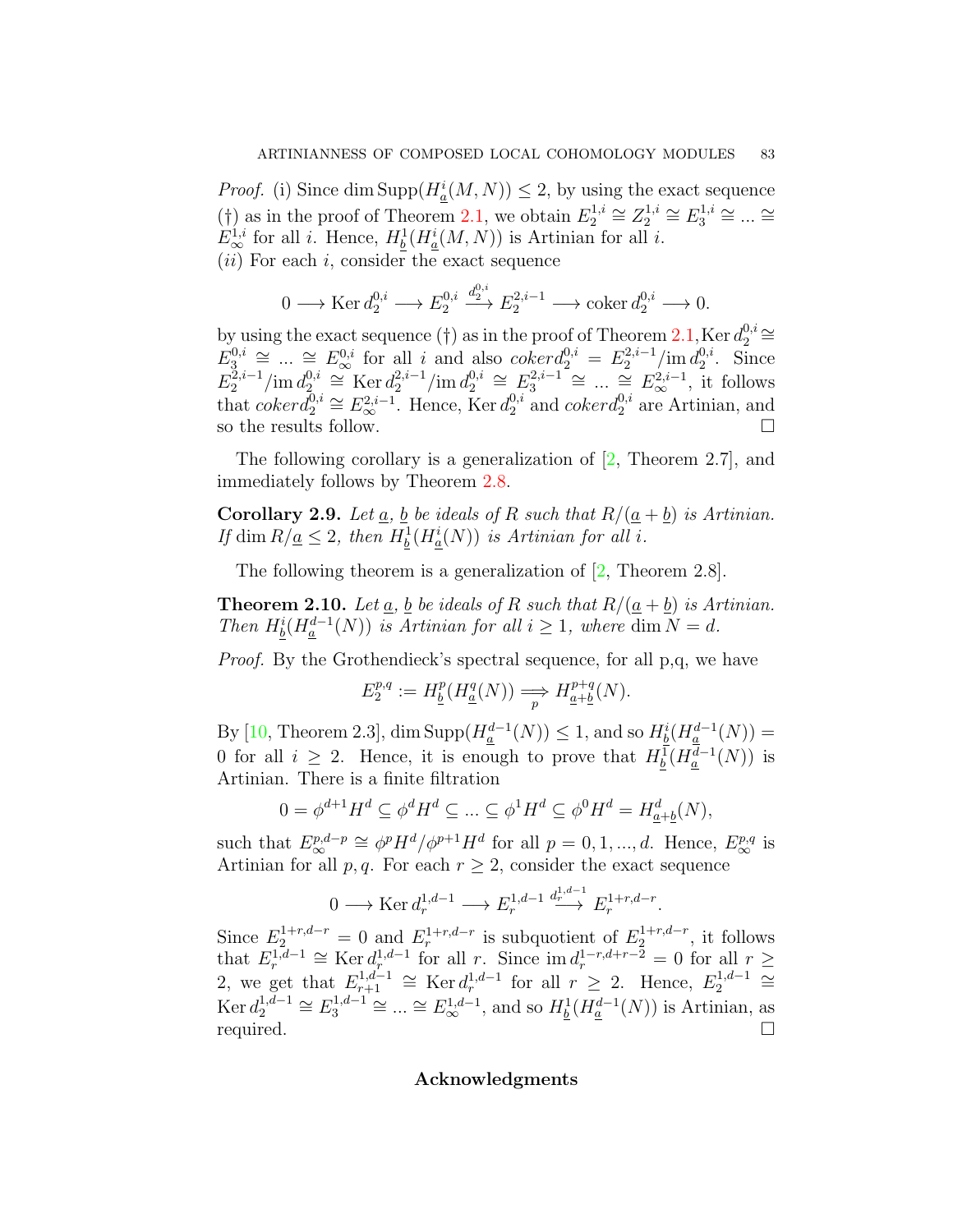*Proof.* (i) Since dim  $\text{Supp}(H^i_{\underline{a}}(M, N)) \leq 2$ , by using the exact sequence (†) as in the proof of Theorem [2.1,](#page-1-0) we obtain  $E_2^{1,i}$  $Z_2^{1,i}$   $\cong Z_2^{1,i}$  $E_2^{1,i} \cong E_3^{1,i}$  $\frac{1}{3}$ <sup>*i*</sup> ≅ ... ≅  $E^{1,i}_{\infty}$  for all *i*. Hence,  $H^1_{\underline{b}}(H^i_{\underline{a}}(M,N))$  is Artinian for all *i*. (*ii*) For each *i*, consider the exact sequence

$$
0 \longrightarrow \text{Ker } d_2^{0,i} \longrightarrow E_2^{0,i} \stackrel{d_2^{0,i}}{\longrightarrow} E_2^{2,i-1} \longrightarrow \text{coker } d_2^{0,i} \longrightarrow 0.
$$

by using the exact sequence ( $\dagger$ ) as in the proof of Theorem [2.1](#page-1-0), Ker  $d_2^{0,i}$  $2^{0,i}$   $\cong$  $E_3^{0,i}$  $\frac{0,i}{3} \cong \dots \cong E_{\infty}^{0,i}$  for all *i* and also *cokerd* $\frac{0,i}{2} = E_2^{2,i-1} / \text{im } d_2^{0,i}$  $2^{0,2}$ . Since  $E_2^{\tilde{2},i-1}/\text{im } d_2^{0,i}$  $\sum_{2}^{0,i}$  ≅ Ker  $d_2^{2,i-1}$ /im  $d_2^{0,i}$  $E_2^{0,i} \cong E_3^{2,i-1} \cong \dots \cong E_\infty^{2,i-1}$ , it follows that  $coker\bar{d}_{2}^{0,i} \cong E_{\infty}^{2,i-1}$ . Hence, Ker  $d_{2}^{0,i}$  $_{2}^{0,i}$  and *cokerd*<sup>0*,i*</sup></sup> are Artinian, and so the results follow.  $\Box$ 

The following corollary is a generalization of[[2,](#page-5-12) Theorem 2.7], and immediately follows by Theorem [2.8](#page-3-0).

**Corollary 2.9.** *Let*  $\underline{a}$ *,*  $\underline{b}$  *be ideals of*  $R$  *such that*  $R/(\underline{a} + \underline{b})$  *is Artinian. If* dim  $R/\underline{a} \leq 2$ , then  $H^1_{\underline{b}}(H^i_{\underline{a}}(N))$  *is Artinian for all i.* 

The following theorem is a generalization of [\[2](#page-5-12), Theorem 2.8].

**Theorem 2.10.** *Let*  $\underline{a}$ *,*  $\underline{b}$  *be ideals of*  $R$  *such that*  $R/(\underline{a} + \underline{b})$  *is Artinian. Then*  $H^i_{\underline{b}}(H^{d-1}_{\underline{a}}(N))$  *is Artinian for all*  $i \geq 1$ *, where* dim  $N = d$ *.* 

*Proof.* By the Grothendieck's spectral sequence, for all p,q, we have

$$
E_2^{p,q} := H^p_{\underline{b}}(H^q_{\underline{a}}(N)) \Longrightarrow H^{p+q}_{\underline{a}+\underline{b}}(N).
$$

 $\frac{1}{2}$  By [\[10,](#page-5-14) Theorem 2.3], dim  $\text{Supp}(H_{\underline{a}}^{d-1}(N)) \leq 1$ , and so  $H_{\underline{b}}^{i}(H_{\underline{a}}^{d-1}(N)) = 1$ 0 for all  $i \geq 2$ . Hence, it is enough to prove that  $H_{\underline{b}}^1(H_{\underline{a}}^{d-1}(N))$  is Artinian. There is a finite filtration

$$
0 = \phi^{d+1} H^d \subseteq \phi^d H^d \subseteq \dots \subseteq \phi^1 H^d \subseteq \phi^0 H^d = H^d_{\underline{a} + \underline{b}}(N),
$$

such that  $E^{p,d-p}_{\infty} \cong \phi^p H^d / \phi^{p+1} H^d$  for all  $p = 0, 1, ..., d$ . Hence,  $E^{p,q}_{\infty}$  is Artinian for all *p*, *q*. For each  $r \geq 2$ , consider the exact sequence

$$
0 \longrightarrow \text{Ker } d_r^{1,d-1} \longrightarrow E_r^{1,d-1} \stackrel{d_r^{1,d-1}}{\longrightarrow} E_r^{1+r,d-r}.
$$

Since  $E_2^{1+r,d-r} = 0$  and  $E_r^{1+r,d-r}$  is subquotient of  $E_2^{1+r,d-r}$ , it follows that  $E_r^{1,d-1} \cong \text{Ker } d_r^{1,d-1}$  for all *r*. Since  $\text{im } d_r^{1-r,d+r-2} = 0$  for all  $r \geq$ 2, we get that  $E_{r+1}^{1,d-1} \cong \text{Ker } d_r^{1,d-1}$  for all  $r \geq 2$ . Hence,  $E_2^{1,d-1} \cong$ Ker  $d_2^{1,d-1} \cong E_3^{1,d-1} \cong ... \cong E_{\infty}^{1,d-1}$ , and so  $H_{\underline{b}}^1(H_{\underline{a}}^{d-1}(N))$  is Artinian, as required.  $\Box$ 

## **Acknowledgments**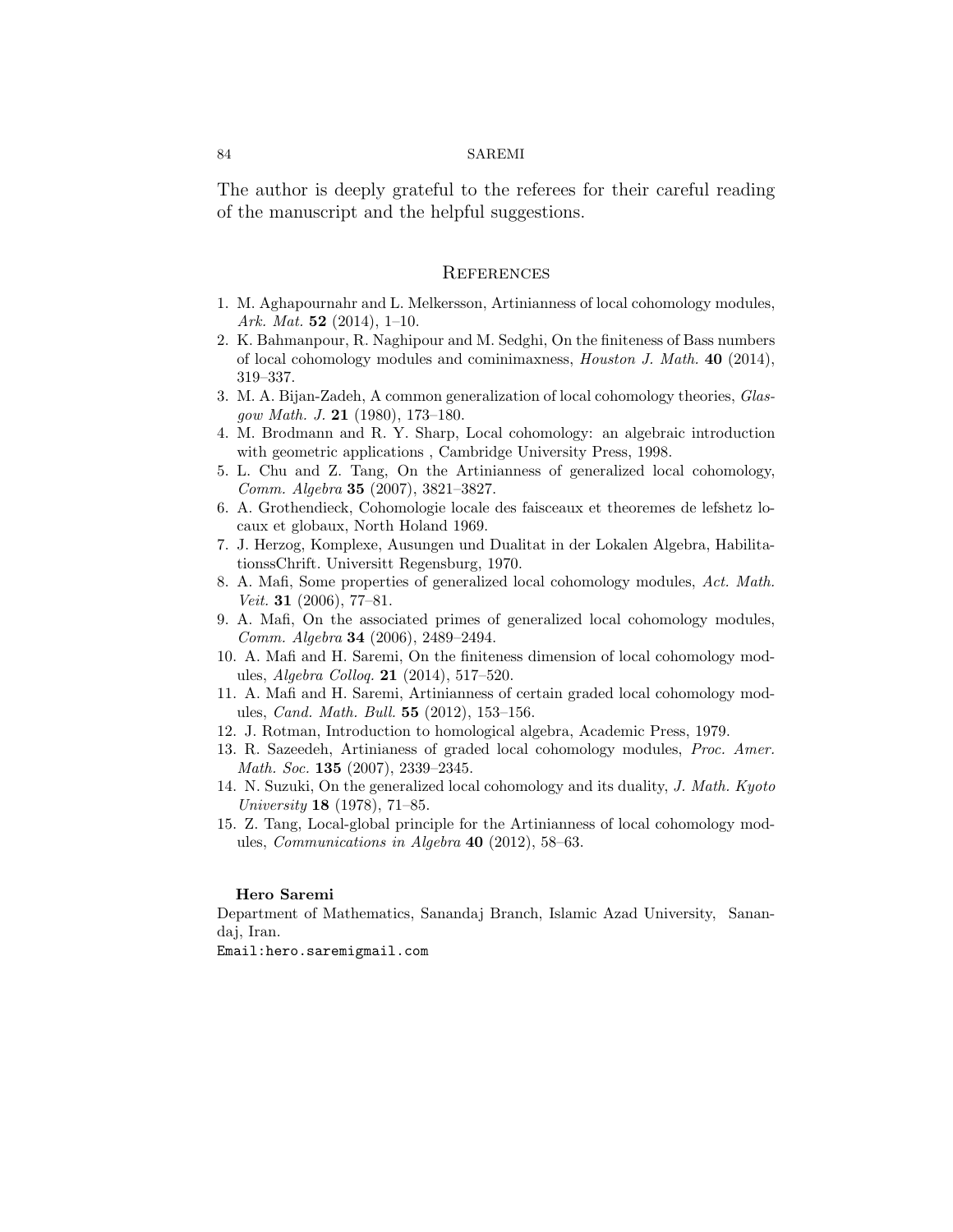#### 84 SAREMI

The author is deeply grateful to the referees for their careful reading of the manuscript and the helpful suggestions.

## **REFERENCES**

- <span id="page-5-10"></span>1. M. Aghapournahr and L. Melkersson, Artinianness of local cohomology modules, *Ark. Mat.* **52** (2014), 1–10.
- <span id="page-5-12"></span>2. K. Bahmanpour, R. Naghipour and M. Sedghi, On the finiteness of Bass numbers of local cohomology modules and cominimaxness, *Houston J. Math.* **40** (2014), 319–337.
- <span id="page-5-2"></span>3. M. A. Bijan-Zadeh, A common generalization of local cohomology theories, *Glasgow Math. J.* **21** (1980), 173–180.
- <span id="page-5-4"></span>4. M. Brodmann and R. Y. Sharp, Local cohomology: an algebraic introduction with geometric applications , Cambridge University Press, 1998.
- <span id="page-5-9"></span>5. L. Chu and Z. Tang, On the Artinianness of generalized local cohomology, *Comm. Algebra* **35** (2007), 3821–3827.
- <span id="page-5-3"></span>6. A. Grothendieck, Cohomologie locale des faisceaux et theoremes de lefshetz locaux et globaux, North Holand 1969.
- <span id="page-5-0"></span>7. J. Herzog, Komplexe, Ausungen und Dualitat in der Lokalen Algebra, HabilitationssChrift. Universitt Regensburg, 1970.
- <span id="page-5-5"></span>8. A. Mafi, Some properties of generalized local cohomology modules, *Act. Math. Veit.* **31** (2006), 77–81.
- <span id="page-5-6"></span>9. A. Mafi, On the associated primes of generalized local cohomology modules, *Comm. Algebra* **34** (2006), 2489–2494.
- <span id="page-5-14"></span>10. A. Mafi and H. Saremi, On the finiteness dimension of local cohomology modules, *Algebra Colloq.* **21** (2014), 517–520.
- <span id="page-5-11"></span>11. A. Mafi and H. Saremi, Artinianness of certain graded local cohomology modules, *Cand. Math. Bull.* **55** (2012), 153–156.
- <span id="page-5-13"></span>12. J. Rotman, Introduction to homological algebra, Academic Press, 1979.
- <span id="page-5-7"></span>13. R. Sazeedeh, Artinianess of graded local cohomology modules, *Proc. Amer. Math. Soc.* **135** (2007), 2339–2345.
- <span id="page-5-1"></span>14. N. Suzuki, On the generalized local cohomology and its duality, *J. Math. Kyoto University* **18** (1978), 71–85.
- <span id="page-5-8"></span>15. Z. Tang, Local-global principle for the Artinianness of local cohomology modules, *Communications in Algebra* **40** (2012), 58–63.

#### **Hero Saremi**

Department of Mathematics, Sanandaj Branch, Islamic Azad University, Sanandaj, Iran.

Email:hero.saremigmail.com